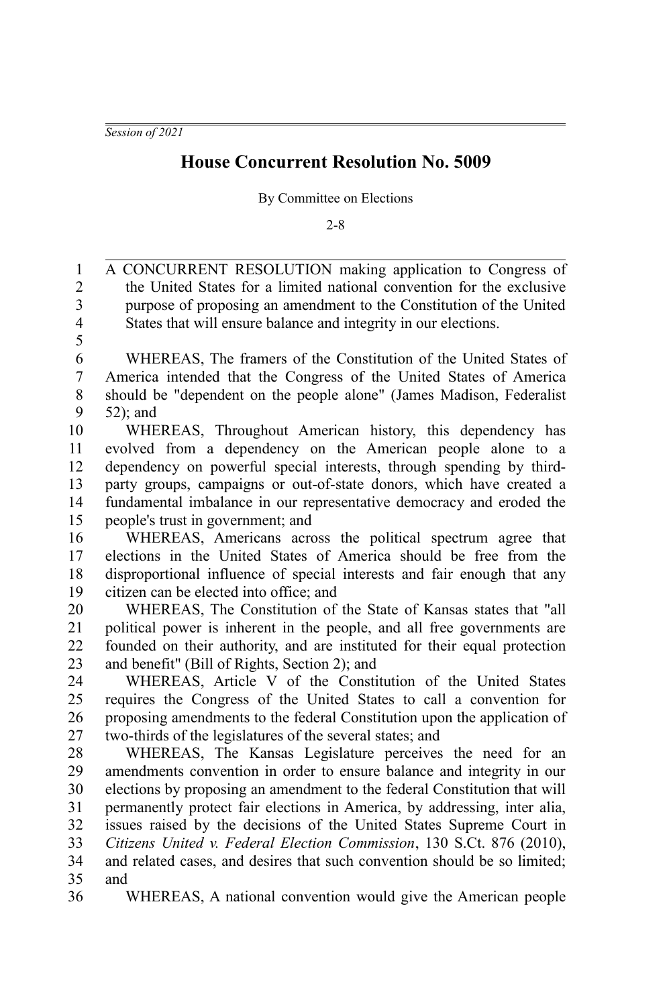## **House Concurrent Resolution No. 5009**

By Committee on Elections

 $2 - 8$ 

A CONCURRENT RESOLUTION making application to Congress of the United States for a limited national convention for the exclusive purpose of proposing an amendment to the Constitution of the United States that will ensure balance and integrity in our elections. WHEREAS, The framers of the Constitution of the United States of America intended that the Congress of the United States of America should be "dependent on the people alone" (James Madison, Federalist 52); and WHEREAS, Throughout American history, this dependency has evolved from a dependency on the American people alone to a dependency on powerful special interests, through spending by thirdparty groups, campaigns or out-of-state donors, which have created a fundamental imbalance in our representative democracy and eroded the people's trust in government; and WHEREAS, Americans across the political spectrum agree that elections in the United States of America should be free from the disproportional influence of special interests and fair enough that any citizen can be elected into office; and WHEREAS, The Constitution of the State of Kansas states that "all political power is inherent in the people, and all free governments are founded on their authority, and are instituted for their equal protection and benefit" (Bill of Rights, Section 2); and WHEREAS, Article V of the Constitution of the United States requires the Congress of the United States to call a convention for proposing amendments to the federal Constitution upon the application of two-thirds of the legislatures of the several states; and WHEREAS, The Kansas Legislature perceives the need for an amendments convention in order to ensure balance and integrity in our elections by proposing an amendment to the federal Constitution that will permanently protect fair elections in America, by addressing, inter alia, issues raised by the decisions of the United States Supreme Court in *Citizens United v. Federal Election Commission*, 130 S.Ct. 876 (2010), and related cases, and desires that such convention should be so limited; and WHEREAS, A national convention would give the American people 1 2 3 4 5 6 7 8 9 10 11 12 13 14 15 16 17 18 19 20 21 22 23  $24$ 25 26 27 28 29 30 31 32 33 34 35 36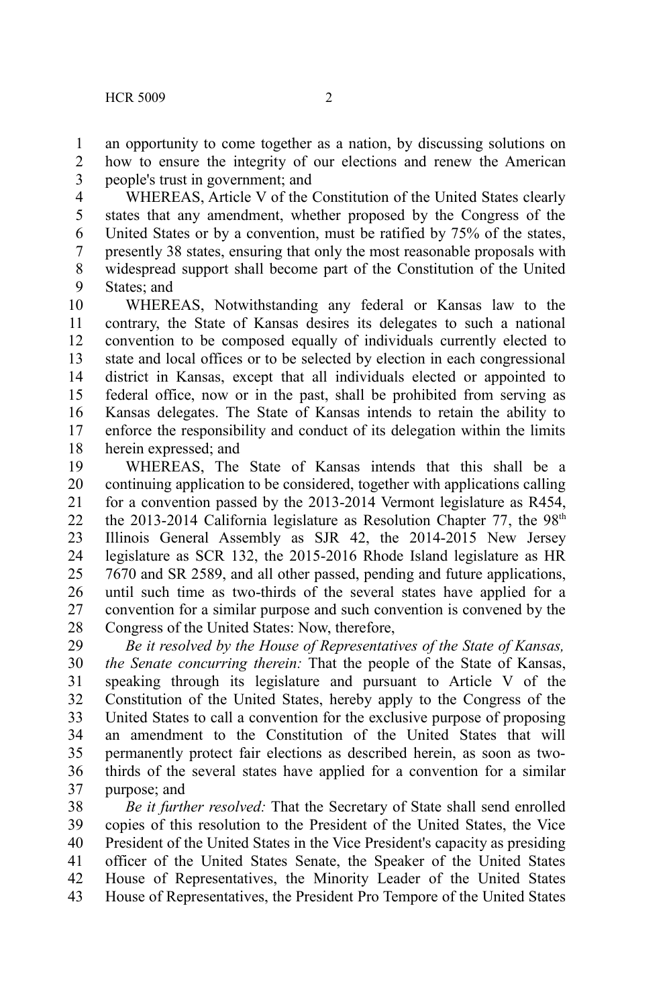an opportunity to come together as a nation, by discussing solutions on how to ensure the integrity of our elections and renew the American people's trust in government; and 1 2 3

WHEREAS, Article V of the Constitution of the United States clearly states that any amendment, whether proposed by the Congress of the United States or by a convention, must be ratified by 75% of the states, presently 38 states, ensuring that only the most reasonable proposals with widespread support shall become part of the Constitution of the United States; and 4 5 6 7 8 9

WHEREAS, Notwithstanding any federal or Kansas law to the contrary, the State of Kansas desires its delegates to such a national convention to be composed equally of individuals currently elected to state and local offices or to be selected by election in each congressional district in Kansas, except that all individuals elected or appointed to federal office, now or in the past, shall be prohibited from serving as Kansas delegates. The State of Kansas intends to retain the ability to enforce the responsibility and conduct of its delegation within the limits herein expressed; and 10 11 12 13 14 15 16 17 18

WHEREAS, The State of Kansas intends that this shall be a continuing application to be considered, together with applications calling for a convention passed by the 2013-2014 Vermont legislature as R454, the 2013-2014 California legislature as Resolution Chapter 77, the 98<sup>th</sup> Illinois General Assembly as SJR 42, the 2014-2015 New Jersey legislature as SCR 132, the 2015-2016 Rhode Island legislature as HR 7670 and SR 2589, and all other passed, pending and future applications, until such time as two-thirds of the several states have applied for a convention for a similar purpose and such convention is convened by the Congress of the United States: Now, therefore, 19 20 21 22 23 24 25 26 27 28

*Be it resolved by the House of Representatives of the State of Kansas, the Senate concurring therein:* That the people of the State of Kansas, speaking through its legislature and pursuant to Article V of the Constitution of the United States, hereby apply to the Congress of the United States to call a convention for the exclusive purpose of proposing an amendment to the Constitution of the United States that will permanently protect fair elections as described herein, as soon as twothirds of the several states have applied for a convention for a similar purpose; and 29 30 31 32 33 34 35 36 37

*Be it further resolved:* That the Secretary of State shall send enrolled copies of this resolution to the President of the United States, the Vice President of the United States in the Vice President's capacity as presiding officer of the United States Senate, the Speaker of the United States House of Representatives, the Minority Leader of the United States House of Representatives, the President Pro Tempore of the United States 38 39 40 41 42 43